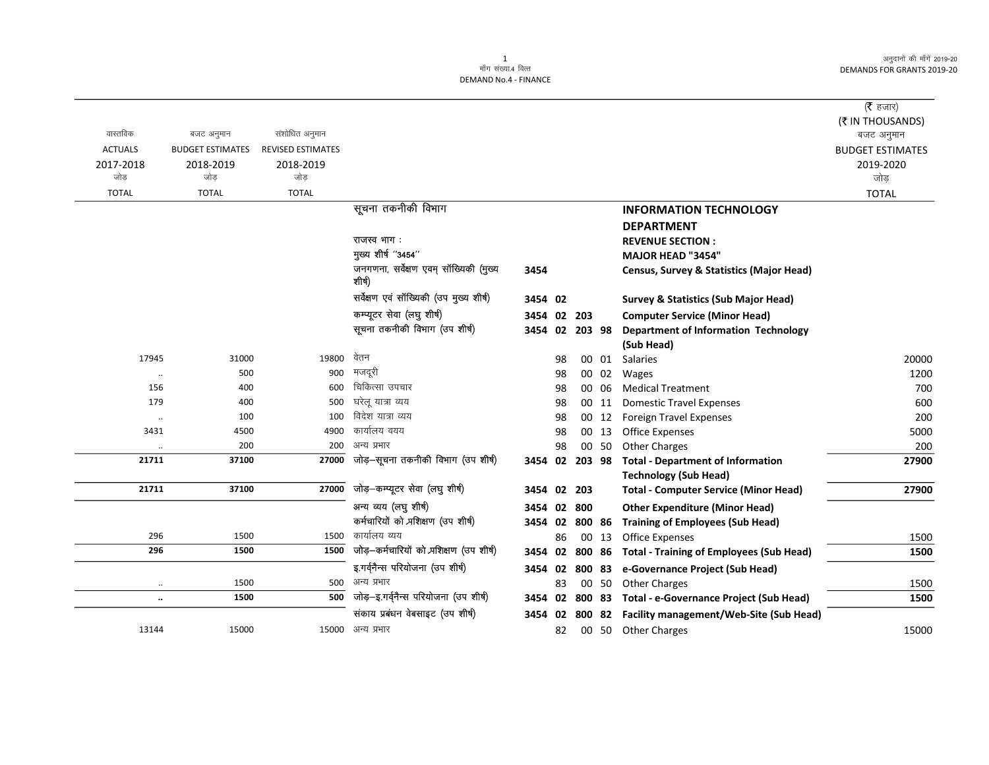अनुदानों की माँगें 2019-20 DEMANDS FOR GRANTS 2019-20

|                |                         |                          |                                                  |                |    |        |       |                                                        | ( <b>रै</b> हजार)       |
|----------------|-------------------------|--------------------------|--------------------------------------------------|----------------|----|--------|-------|--------------------------------------------------------|-------------------------|
|                |                         |                          |                                                  |                |    |        |       |                                                        | (₹ IN THOUSANDS)        |
| वास्तविक       | बजट अनुमान              | संशोधित अनुमान           |                                                  |                |    |        |       |                                                        | बजट अनुमान              |
| <b>ACTUALS</b> | <b>BUDGET ESTIMATES</b> | <b>REVISED ESTIMATES</b> |                                                  |                |    |        |       |                                                        | <b>BUDGET ESTIMATES</b> |
| 2017-2018      | 2018-2019               | 2018-2019                |                                                  |                |    |        |       |                                                        | 2019-2020               |
| जोड            | जोड                     | जोड                      |                                                  |                |    |        |       |                                                        | जोड                     |
| <b>TOTAL</b>   | <b>TOTAL</b>            | <b>TOTAL</b>             |                                                  |                |    |        |       |                                                        | <b>TOTAL</b>            |
|                |                         |                          | सूचना तकनीकी विभाग                               |                |    |        |       | <b>INFORMATION TECHNOLOGY</b>                          |                         |
|                |                         |                          |                                                  |                |    |        |       | <b>DEPARTMENT</b>                                      |                         |
|                |                         |                          | राजस्व भाग:                                      |                |    |        |       | <b>REVENUE SECTION:</b>                                |                         |
|                |                         |                          | मुख्य शीर्ष "3454"                               |                |    |        |       | <b>MAJOR HEAD "3454"</b>                               |                         |
|                |                         |                          | जनगणना, सर्वेक्षण एवम् सॉख्यिकी (मुख्य<br>शीर्ष) | 3454           |    |        |       | <b>Census, Survey &amp; Statistics (Major Head)</b>    |                         |
|                |                         |                          | सर्वेक्षण एवं सॉख्यिकी (उप मुख्य शीर्ष)          | 3454 02        |    |        |       | <b>Survey &amp; Statistics (Sub Major Head)</b>        |                         |
|                |                         |                          | कम्प्यूटर सेवा (लघु शीर्ष)                       | 3454 02 203    |    |        |       | <b>Computer Service (Minor Head)</b>                   |                         |
|                |                         |                          | सूचना तकनीकी विभाग (उप शीर्ष)                    | 3454 02 203 98 |    |        |       | <b>Department of Information Technology</b>            |                         |
|                |                         |                          |                                                  |                |    |        |       | (Sub Head)                                             |                         |
| 17945          | 31000                   | 19800                    | वेतन                                             |                | 98 |        | 00 01 | Salaries                                               | 20000                   |
| $\ddotsc$      | 500                     | 900                      | मजदरी                                            |                | 98 |        | 00 02 | Wages                                                  | 1200                    |
| 156            | 400                     | 600                      | चिकित्सा उपचार                                   |                | 98 |        | 00 06 | <b>Medical Treatment</b>                               | 700                     |
| 179            | 400                     | 500                      | घरेलु यात्रा व्यय                                |                | 98 |        | 00 11 | <b>Domestic Travel Expenses</b>                        | 600                     |
| $\ldots$       | 100                     | 100                      | विदेश यात्रा व्यय                                |                | 98 |        | 00 12 | <b>Foreign Travel Expenses</b>                         | 200                     |
| 3431           | 4500                    | 4900                     | कार्यालय वयय                                     |                | 98 |        | 00 13 | <b>Office Expenses</b>                                 | 5000                    |
|                | 200                     | 200                      | अन्य प्रभार                                      |                | 98 |        | 00 50 | <b>Other Charges</b>                                   | 20 <sub>C</sub>         |
| 21711          | 37100                   | 27000                    | जोड़-सूचना तकनीकी विभाग (उप शीर्ष)               |                |    |        |       | 3454 02 203 98 Total - Department of Information       | 27900                   |
|                |                         |                          |                                                  |                |    |        |       | <b>Technology (Sub Head)</b>                           |                         |
| 21711          | 37100                   | 27000                    | जोड़—कम्प्यूटर सेवा (लघु शीर्ष)                  | 3454 02        |    | 203    |       | <b>Total - Computer Service (Minor Head)</b>           | 27900                   |
|                |                         |                          | अन्य व्यय (लघु शीर्ष)                            | 3454 02        |    | 800    |       | <b>Other Expenditure (Minor Head)</b>                  |                         |
|                |                         |                          | कर्मचारियों को प्रशिक्षण (उप शीर्ष)              | 3454 02        |    |        |       | 800 86 Training of Employees (Sub Head)                |                         |
| 296            | 1500                    |                          | 1500 कार्यालय व्यय                               |                | 86 |        | 00 13 | <b>Office Expenses</b>                                 | 1500                    |
| 296            | 1500                    |                          | 1500 जोड़-कर्मचारियों को प्रशिक्षण (उप शीर्ष)    | 3454 02        |    | 800 86 |       | <b>Total - Training of Employees (Sub Head)</b>        | 1500                    |
|                |                         |                          | इ.गर्वनैन्स परियोजना (उप शीर्ष)                  | 3454 02        |    | 800 83 |       | e-Governance Project (Sub Head)                        |                         |
| $\ldots$       | 1500                    |                          | 500 अन्य प्रभार                                  |                | 83 |        | 00 50 | <b>Other Charges</b>                                   | 1500                    |
| $\cdots$       | 1500                    |                          | 500 जोड़-इ.गर्वनैन्स परियोजना (उप शीर्ष)         |                |    |        |       | 3454 02 800 83 Total - e-Governance Project (Sub Head) | 1500                    |

संकाय प्रबंधन वेबसाइट (उप शीर्ष)

15000 अन्य प्रभार

3454 02 800 82 Facility management/Web-Site (Sub Head)

82 00 50 Other Charges

1<br>माँग संख्या.4 वित्त

DEMAND No.4 - FINANCE